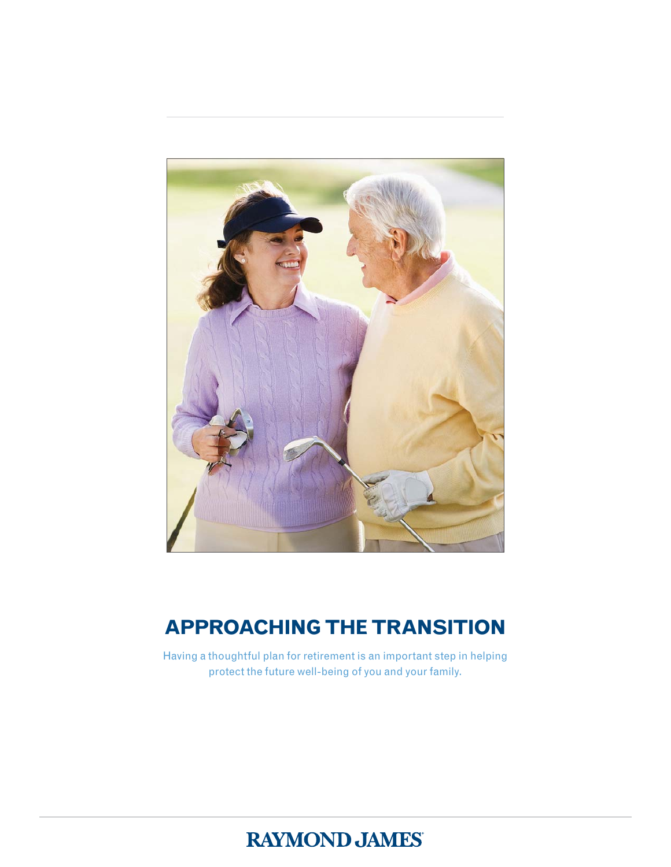

### **APPROACHING THE TRANSITION**

Having a thoughtful plan for retirement is an important step in helping protect the future well-being of you and your family.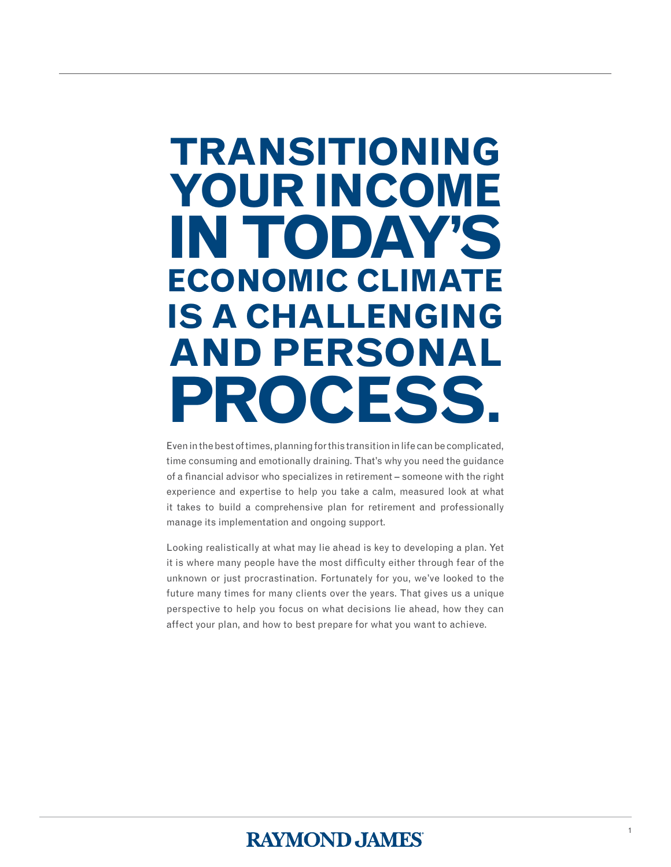## **TRANSITIONING YOUR INCOME IN TODAY'S ECONOMIC CLIMATE IS A CHALLENGING AND PERSONAL PROCESS.**

Even in the best of times, planning for this transition in life can be complicated, time consuming and emotionally draining. That's why you need the guidance of a financial advisor who specializes in retirement – someone with the right experience and expertise to help you take a calm, measured look at what it takes to build a comprehensive plan for retirement and professionally manage its implementation and ongoing support.

Looking realistically at what may lie ahead is key to developing a plan. Yet it is where many people have the most difficulty either through fear of the unknown or just procrastination. Fortunately for you, we've looked to the future many times for many clients over the years. That gives us a unique perspective to help you focus on what decisions lie ahead, how they can affect your plan, and how to best prepare for what you want to achieve.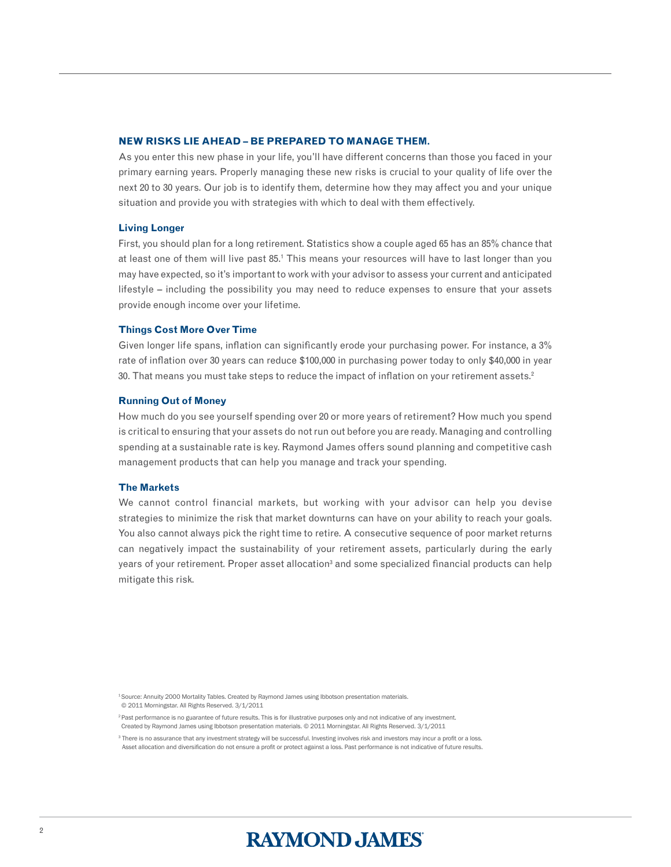#### **NEW RISKS LIE AHEAD – BE PREPARED TO MANAGE THEM.**

As you enter this new phase in your life, you'll have different concerns than those you faced in your primary earning years. Properly managing these new risks is crucial to your quality of life over the next 20 to 30 years. Our job is to identify them, determine how they may affect you and your unique situation and provide you with strategies with which to deal with them effectively.

#### **Living Longer**

First, you should plan for a long retirement. Statistics show a couple aged 65 has an 85% chance that at least one of them will live past 85.' This means your resources will have to last longer than you may have expected, so it's important to work with your advisor to assess your current and anticipated lifestyle – including the possibility you may need to reduce expenses to ensure that your assets provide enough income over your lifetime.

#### **Things Cost More Over Time**

Given longer life spans, inflation can significantly erode your purchasing power. For instance, a 3% rate of inflation over 30 years can reduce \$100,000 in purchasing power today to only \$40,000 in year 30. That means you must take steps to reduce the impact of inflation on your retirement assets.<sup>2</sup>

#### **Running Out of Money**

How much do you see yourself spending over 20 or more years of retirement? How much you spend is critical to ensuring that your assets do not run out before you are ready. Managing and controlling spending at a sustainable rate is key. Raymond James offers sound planning and competitive cash management products that can help you manage and track your spending.

#### **The Markets**

We cannot control financial markets, but working with your advisor can help you devise strategies to minimize the risk that market downturns can have on your ability to reach your goals. You also cannot always pick the right time to retire. A consecutive sequence of poor market returns can negatively impact the sustainability of your retirement assets, particularly during the early years of your retirement. Proper asset allocation<sup>3</sup> and some specialized financial products can help mitigate this risk.

<sup>1</sup> Source: Annuity 2000 Mortality Tables. Created by Raymond James using Ibbotson presentation materials. © 2011 Morningstar. All Rights Reserved. 3/1/2011

<sup>&</sup>lt;sup>2</sup> Past performance is no guarantee of future results. This is for illustrative purposes only and not indicative of any investment.

Created by Raymond James using Ibbotson presentation materials. © 2011 Morningstar. All Rights Reserved. 3/1/2011

<sup>&</sup>lt;sup>3</sup> There is no assurance that anv investment strategy will be successful. Investing involves risk and investors may incur a profit or a loss. Asset allocation and diversification do not ensure a profit or protect against a loss. Past performance is not indicative of future results.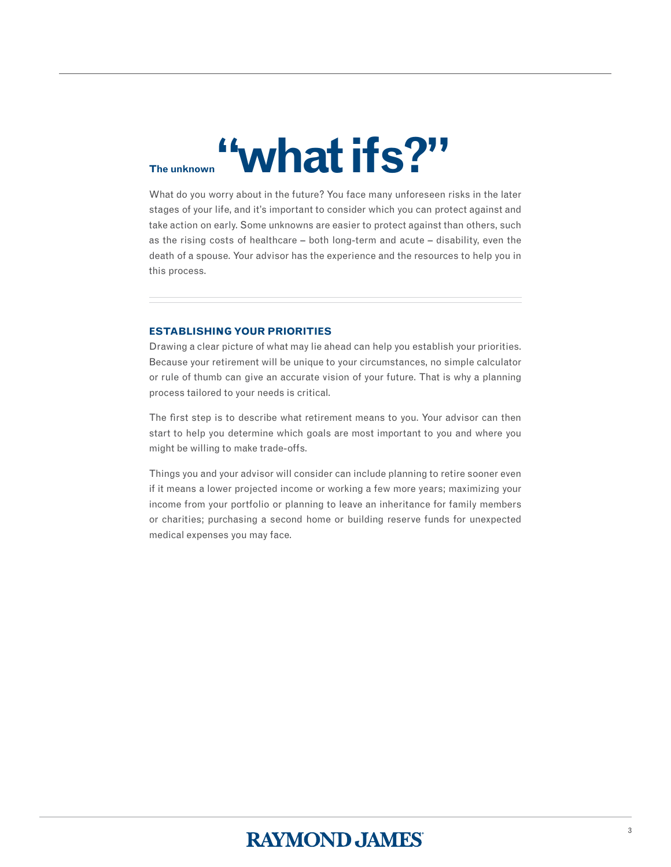# **The unknown"what ifs?"**

What do you worry about in the future? You face many unforeseen risks in the later stages of your life, and it's important to consider which you can protect against and take action on early. Some unknowns are easier to protect against than others, such as the rising costs of healthcare – both long-term and acute – disability, even the death of a spouse. Your advisor has the experience and the resources to help you in this process.

#### **ESTABLISHING YOUR PRIORITIES**

Drawing a clear picture of what may lie ahead can help you establish your priorities. Because your retirement will be unique to your circumstances, no simple calculator or rule of thumb can give an accurate vision of your future. That is why a planning process tailored to your needs is critical.

The first step is to describe what retirement means to you. Your advisor can then start to help you determine which goals are most important to you and where you might be willing to make trade-offs.

Things you and your advisor will consider can include planning to retire sooner even if it means a lower projected income or working a few more years; maximizing your income from your portfolio or planning to leave an inheritance for family members or charities; purchasing a second home or building reserve funds for unexpected medical expenses you may face.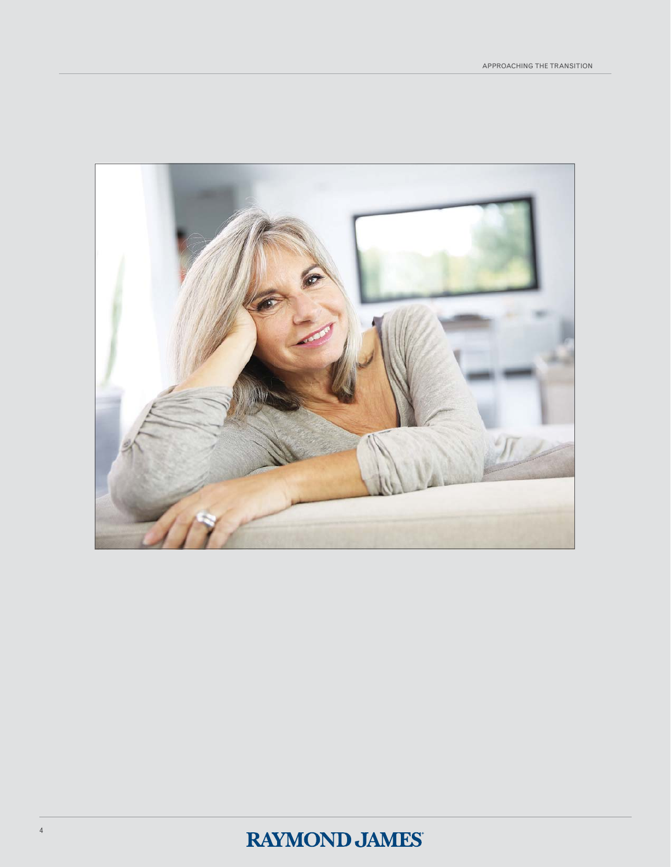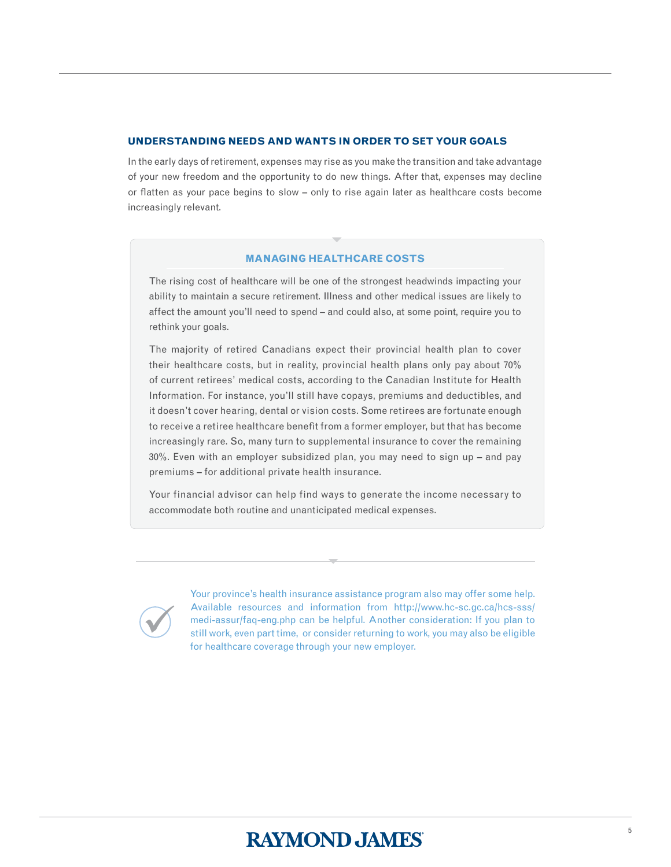#### **UNDERSTANDING NEEDS AND WANTS IN ORDER TO SET YOUR GOALS**

In the early days of retirement, expenses may rise as you make the transition and take advantage of your new freedom and the opportunity to do new things. After that, expenses may decline or flatten as your pace begins to slow – only to rise again later as healthcare costs become increasingly relevant.

#### **MANAGING HEALTHCARE COSTS**

The rising cost of healthcare will be one of the strongest headwinds impacting your ability to maintain a secure retirement. Illness and other medical issues are likely to affect the amount you'll need to spend – and could also, at some point, require you to rethink your goals.

The majority of retired Canadians expect their provincial health plan to cover their healthcare costs, but in reality, provincial health plans only pay about 70% of current retirees' medical costs, according to the Canadian Institute for Health Information. For instance, you'll still have copays, premiums and deductibles, and it doesn't cover hearing, dental or vision costs. Some retirees are fortunate enough to receive a retiree healthcare benefit from a former employer, but that has become increasingly rare. So, many turn to supplemental insurance to cover the remaining 30%. Even with an employer subsidized plan, you may need to sign up – and pay premiums – for additional private health insurance.

Your financial advisor can help find ways to generate the income necessary to accommodate both routine and unanticipated medical expenses.



Your province's health insurance assistance program also may offer some help. Available resources and information from http://www.hc-sc.gc.ca/hcs-sss/ medi-assur/faq-eng.php can be helpful. Another consideration: If you plan to still work, even part time, or consider returning to work, you may also be eligible for healthcare coverage through your new employer.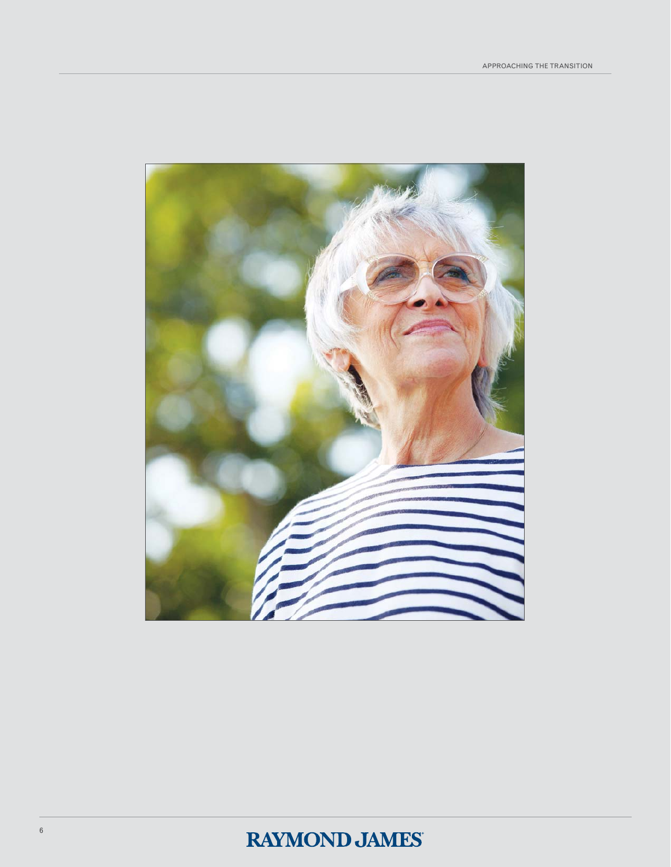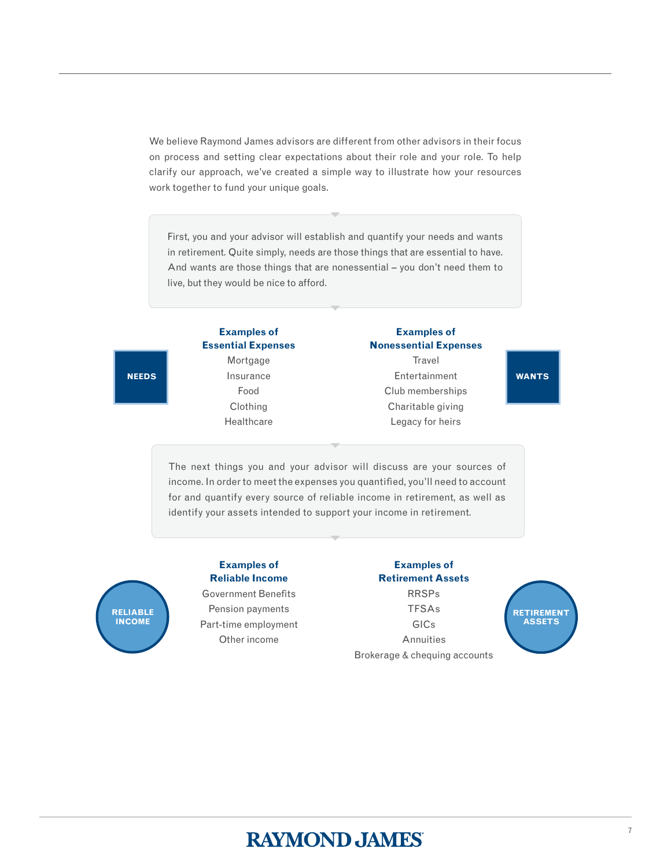We believe Raymond James advisors are different from other advisors in their focus on process and setting clear expectations about their role and your role. To help clarify our approach, we've created a simple way to illustrate how your resources work together to fund your unique goals.

First, you and your advisor will establish and quantify your needs and wants in retirement. Quite simply, needs are those things that are essential to have. And wants are those things that are nonessential – you don't need them to live, but they would be nice to afford.

**Essential Expenses** Mortgage

### Insurance Food Clothing Healthcare

**Examples of** 

#### **Examples of Nonessential Expenses**

Travel Entertainment **NEEDS WANTS** Club memberships Charitable giving Legacy for heirs

The next things you and your advisor will discuss are your sources of income. In order to meet the expenses you quantified, you'll need to account for and quantify every source of reliable income in retirement, as well as identify your assets intended to support your income in retirement.



#### **Examples of Reliable Income**

Government Benefits Pension payments Part-time employment Other income

#### **Examples of Retirement Assets**

RRSPs TFSAs GICs Annuities Brokerage & chequing accounts

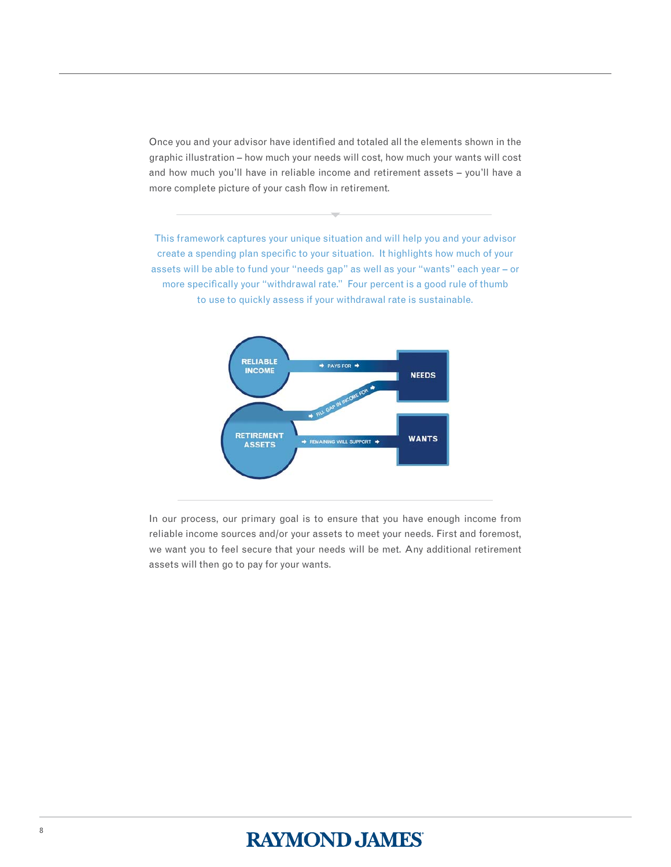Once you and your advisor have identified and totaled all the elements shown in the graphic illustration – how much your needs will cost, how much your wants will cost and how much you'll have in reliable income and retirement assets – you'll have a more complete picture of your cash flow in retirement.

This framework captures your unique situation and will help you and your advisor create a spending plan specific to your situation. It highlights how much of your assets will be able to fund your "needs gap" as well as your "wants" each year – or more specifically your "withdrawal rate." Four percent is a good rule of thumb to use to quickly assess if your withdrawal rate is sustainable.



In our process, our primary goal is to ensure that you have enough income from reliable income sources and/or your assets to meet your needs. First and foremost, we want you to feel secure that your needs will be met. Any additional retirement assets will then go to pay for your wants.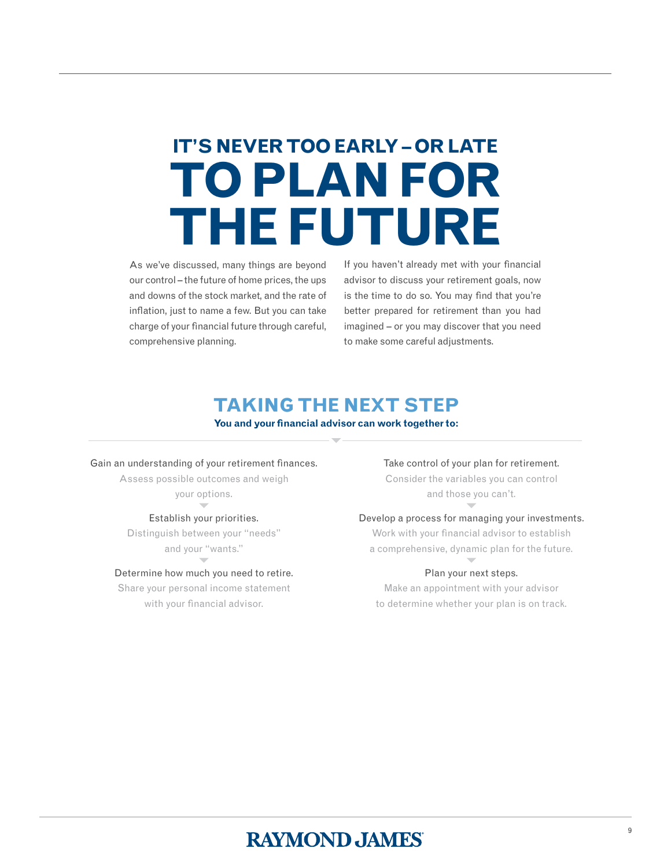## **IT'S NEVER TOO EARLY – OR LATE TO PLAN FOR THE FUTURE**

As we've discussed, many things are beyond our control – the future of home prices, the ups and downs of the stock market, and the rate of inflation, just to name a few. But you can take charge of your financial future through careful, comprehensive planning.

If you haven't already met with your financial advisor to discuss your retirement goals, now is the time to do so. You may find that you're better prepared for retirement than you had imagined – or you may discover that you need to make some careful adjustments.

### **TAKING THE NEXT STEP**

**You and your financial advisor can work together to:** 

Gain an understanding of your retirement finances. Assess possible outcomes and weigh your options.

Establish your priorities.

Distinguish between your "needs" and your "wants."

Determine how much you need to retire.

Share your personal income statement with your financial advisor.

Take control of your plan for retirement. Consider the variables you can control and those you can't.

Develop a process for managing your investments.

Work with your financial advisor to establish a comprehensive, dynamic plan for the future.

#### Plan your next steps.

Make an appointment with your advisor to determine whether your plan is on track.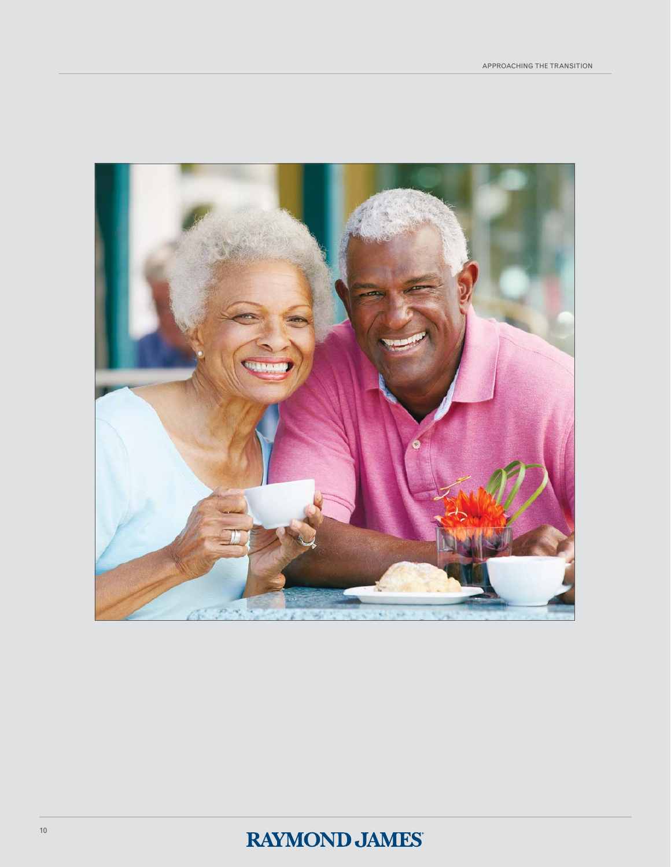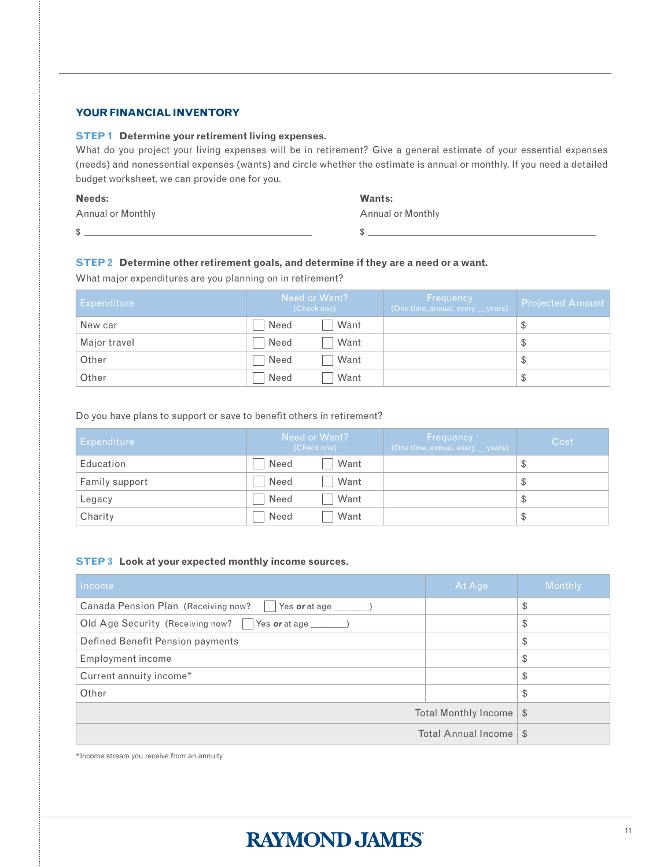#### **YOUR FINANCIAL INVENTORY**

#### **STEP 1 Determine your retirement living expenses.**

What do you project your living expenses will be in retirement? Give a general estimate of your essential expenses (needs) and nonessential expenses (wants) and circle whether the estimate is annual or monthly. If you need a detailed budget worksheet, we can provide one for you.

| Needs:                   | <b>Wants:</b>            |
|--------------------------|--------------------------|
| <b>Annual or Monthly</b> | <b>Annual or Monthly</b> |
| <b>Φ</b>                 |                          |

#### **STEP 2 Determine other retirement goals, and determine if they are a need or a want.**

What major expenditures are you planning on in retirement?

| Expenditure  | Need or Want?<br>(Check one) |      | <b>Frequency</b><br>(One time, annual, every __ years) | <b>Projected Amount</b> |
|--------------|------------------------------|------|--------------------------------------------------------|-------------------------|
| New car      | Need                         | Want |                                                        | S                       |
| Major travel | Need                         | Want |                                                        | S                       |
| Other        | Need                         | Want |                                                        | S                       |
| Other        | Need                         | Want |                                                        | \$                      |

Do you have plans to support or save to benefit others in retirement?

| Expenditure    |      | Need or Want?<br>(Check one) | Frequency<br>(One time, annual, every _ years) | Cost |
|----------------|------|------------------------------|------------------------------------------------|------|
| Education      | Need | Want                         |                                                | D    |
| Family support | Need | Want                         |                                                | \$   |
| Legacy         | Need | Want                         |                                                | \$   |
| Charity        | Need | Want                         |                                                | \$   |

#### **STEP 3 Look at your expected monthly income sources.**

| Income                                                                             | At Age | Monthly |
|------------------------------------------------------------------------------------|--------|---------|
| Canada Pension Plan (Receiving now?<br>Yes $\textit{or}$ at age $\_\_\_\_\_\_\_$   |        | \$      |
| Old Age Security (Receiving now?<br>Yes $\boldsymbol{or}$ at age $\_\_\_\_\_\_\_\$ |        | \$      |
| Defined Benefit Pension payments                                                   |        | \$      |
| Employment income                                                                  |        | \$      |
| Current annuity income*                                                            |        | \$      |
| Other                                                                              |        | \$      |
| Total Monthly Income                                                               | \$     |         |
| Total Annual Income                                                                | -\$    |         |

\*Income stream you receive from an annuity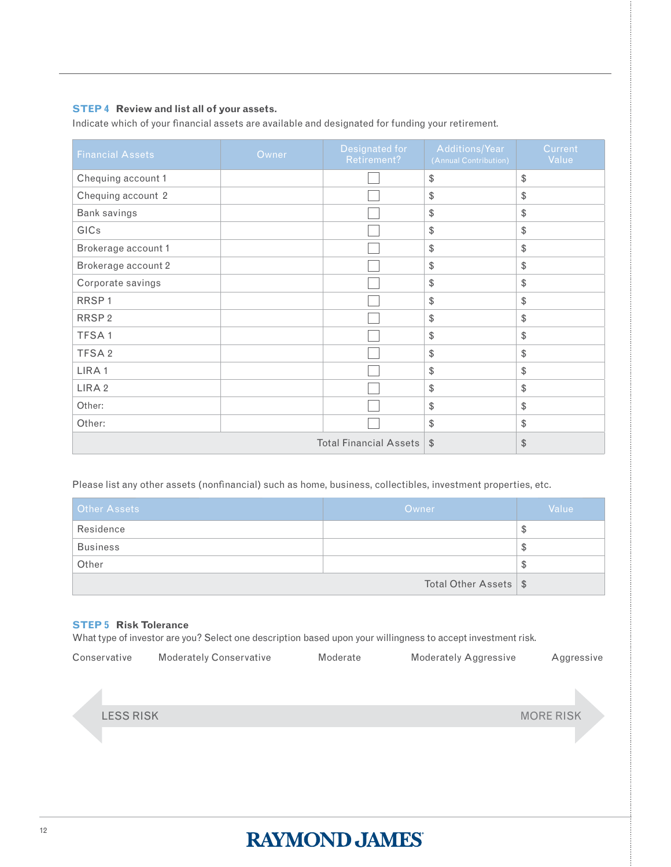#### **STEP 4 Review and list all of your assets.**

Indicate which of your financial assets are available and designated for funding your retirement.

| <b>Financial Assets</b>       | Owner | Designated for<br>Retirement? | Additions/Year<br>(Annual Contribution) | Current<br>Value |
|-------------------------------|-------|-------------------------------|-----------------------------------------|------------------|
| Chequing account 1            |       |                               | \$                                      | \$               |
| Chequing account 2            |       |                               | \$                                      | \$               |
| Bank savings                  |       |                               | \$                                      | \$               |
| GICs                          |       |                               | \$                                      | \$               |
| Brokerage account 1           |       |                               | \$                                      | \$               |
| Brokerage account 2           |       |                               | \$                                      | \$               |
| Corporate savings             |       |                               | \$                                      | \$               |
| RRSP <sub>1</sub>             |       |                               | \$                                      | \$               |
| RRSP <sub>2</sub>             |       |                               | \$                                      | \$               |
| TFSA1                         |       |                               | \$                                      | \$               |
| TFSA <sub>2</sub>             |       |                               | \$                                      | \$               |
| LIRA <sub>1</sub>             |       |                               | \$                                      | \$               |
| LIRA <sub>2</sub>             |       |                               | \$                                      | \$               |
| Other:                        |       |                               | \$                                      | \$               |
| Other:                        |       |                               | \$                                      | \$               |
| <b>Total Financial Assets</b> |       |                               | $\mathcal{F}$                           | $\frac{1}{2}$    |

Please list any other assets (nonfinancial) such as home, business, collectibles, investment properties, etc.

| <b>Other Assets</b> | Owner                   | Value |
|---------------------|-------------------------|-------|
| Residence           |                         | Φ     |
| <b>Business</b>     |                         | Ψ     |
| Other               |                         | \$    |
|                     | Total Other Assets   \$ |       |

#### **STEP 5 Risk Tolerance**

What type of investor are you? Select one description based upon your willingness to accept investment risk.

| Conservative     | <b>Moderately Conservative</b> | Moderate | Moderately Aggressive | Aggressive       |
|------------------|--------------------------------|----------|-----------------------|------------------|
|                  |                                |          |                       |                  |
| <b>LESS RISK</b> |                                |          |                       | <b>MORE RISK</b> |